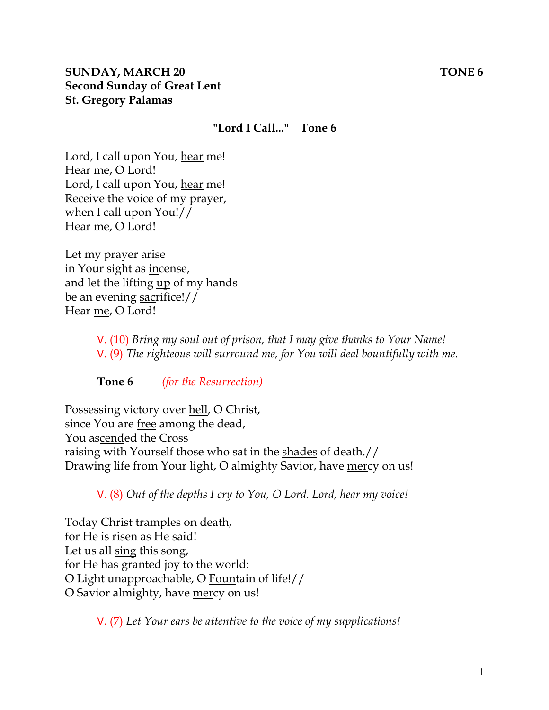#### **"Lord I Call..." Tone 6**

Lord, I call upon You, hear me! Hear me, O Lord! Lord, I call upon You, hear me! Receive the voice of my prayer, when I call upon You!// Hear me, O Lord!

Let my prayer arise in Your sight as incense, and let the lifting up of my hands be an evening sacrifice!// Hear me, O Lord!

> V. (10) *Bring my soul out of prison, that I may give thanks to Your Name!*  V. (9) *The righteous will surround me, for You will deal bountifully with me.*

**Tone 6** *(for the Resurrection)* 

Possessing victory over hell, O Christ, since You are free among the dead, You ascended the Cross raising with Yourself those who sat in the shades of death.// Drawing life from Your light, O almighty Savior, have mercy on us!

V. (8) *Out of the depths I cry to You, O Lord. Lord, hear my voice!* 

Today Christ tramples on death, for He is risen as He said! Let us all sing this song, for He has granted joy to the world: O Light unapproachable, O Fountain of life!// O Savior almighty, have mercy on us!

V. (7) *Let Your ears be attentive to the voice of my supplications!*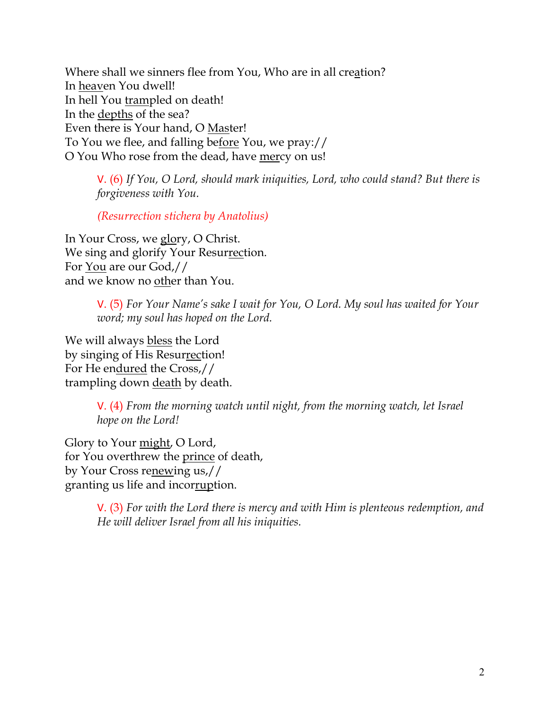Where shall we sinners flee from You, Who are in all creation? In heaven You dwell! In hell You trampled on death! In the depths of the sea? Even there is Your hand, O Master! To You we flee, and falling before You, we pray:// O You Who rose from the dead, have mercy on us!

V. (6) *If You, O Lord, should mark iniquities, Lord, who could stand? But there is forgiveness with You.* 

*(Resurrection stichera by Anatolius)*

In Your Cross, we glory, O Christ. We sing and glorify Your Resurrection. For You are our God,// and we know no other than You.

> V. (5) *For Your Name's sake I wait for You, O Lord. My soul has waited for Your word; my soul has hoped on the Lord.*

We will always bless the Lord by singing of His Resurrection! For He endured the Cross,// trampling down death by death.

> V. (4) *From the morning watch until night, from the morning watch, let Israel hope on the Lord!*

Glory to Your might, O Lord, for You overthrew the prince of death, by Your Cross renewing us,// granting us life and incorruption.

> V. (3) *For with the Lord there is mercy and with Him is plenteous redemption, and He will deliver Israel from all his iniquities.*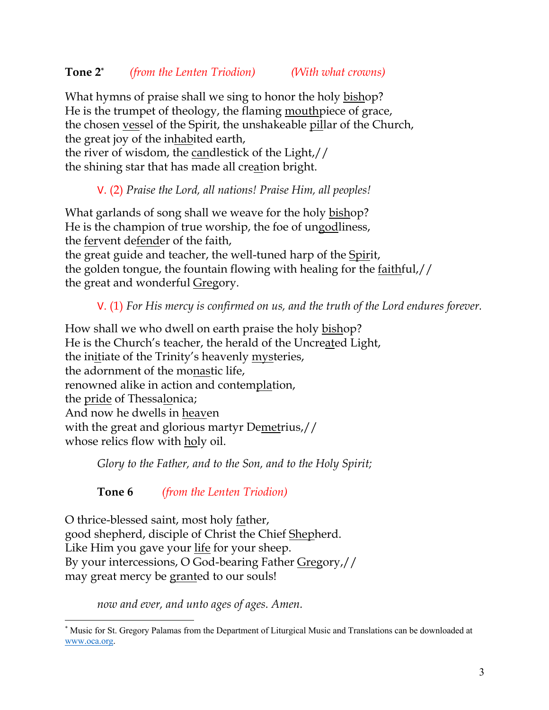What hymns of praise shall we sing to honor the holy bishop? He is the trumpet of theology, the flaming mouthpiece of grace, the chosen vessel of the Spirit, the unshakeable pillar of the Church, the great joy of the inhabited earth,

the river of wisdom, the candlestick of the Light,// the shining star that has made all creation bright.

### V. (2) *Praise the Lord, all nations! Praise Him, all peoples!*

What garlands of song shall we weave for the holy bishop? He is the champion of true worship, the foe of ungodliness, the fervent defender of the faith, the great guide and teacher, the well-tuned harp of the Spirit, the golden tongue, the fountain flowing with healing for the faithful,// the great and wonderful Gregory.

V. (1) *For His mercy is confirmed on us, and the truth of the Lord endures forever.* 

How shall we who dwell on earth praise the holy bishop? He is the Church's teacher, the herald of the Uncreated Light, the initiate of the Trinity's heavenly mysteries, the adornment of the monastic life, renowned alike in action and contemplation, the pride of Thessalonica; And now he dwells in heaven with the great and glorious martyr Demetrius,// whose relics flow with holy oil.

*Glory to the Father, and to the Son, and to the Holy Spirit;*

**Tone 6** *(from the Lenten Triodion)*

O thrice-blessed saint, most holy father, good shepherd, disciple of Christ the Chief Shepherd. Like Him you gave your life for your sheep. By your intercessions, O God-bearing Father Gregory,// may great mercy be granted to our souls!

*now and ever, and unto ages of ages. Amen.* 

<sup>\*</sup> Music for St. Gregory Palamas from the Department of Liturgical Music and Translations can be downloaded at www.oca.org.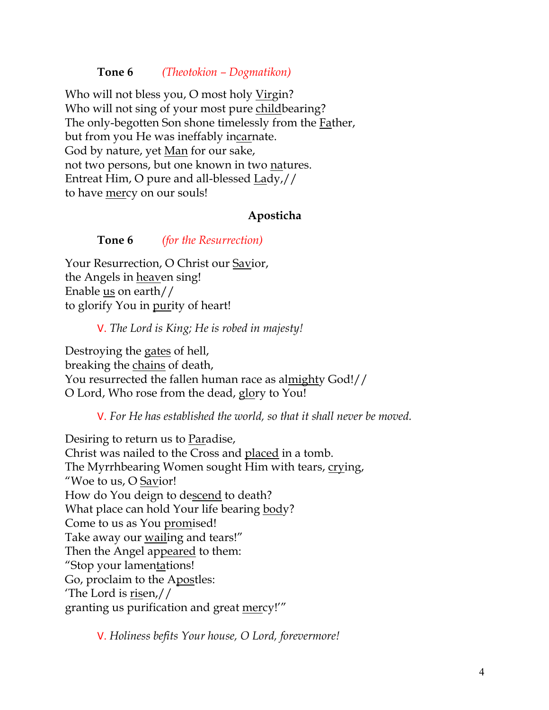#### **Tone 6** *(Theotokion – Dogmatikon)*

Who will not bless you, O most holy Virgin? Who will not sing of your most pure childbearing? The only-begotten Son shone timelessly from the Father, but from you He was ineffably incarnate. God by nature, yet <u>Man</u> for our sake, not two persons, but one known in two natures. Entreat Him, O pure and all-blessed Lady,// to have mercy on our souls!

#### **Aposticha**

**Tone 6** *(for the Resurrection)*

Your Resurrection, O Christ our Savior, the Angels in heaven sing! Enable  $us$  on earth//</u> to glorify You in purity of heart!

V. *The Lord is King; He is robed in majesty!* 

Destroying the gates of hell, breaking the chains of death, You resurrected the fallen human race as almighty God!// O Lord, Who rose from the dead, glory to You!

V. *For He has established the world, so that it shall never be moved.*

Desiring to return us to Paradise, Christ was nailed to the Cross and placed in a tomb. The Myrrhbearing Women sought Him with tears, crying, "Woe to us, O Savior! How do You deign to descend to death? What place can hold Your life bearing body? Come to us as You promised! Take away our wailing and tears!" Then the Angel appeared to them: "Stop your lamentations! Go, proclaim to the Apostles: The Lord is  $risen//$ </u> granting us purification and great mercy!'"

V. *Holiness befits Your house, O Lord, forevermore!*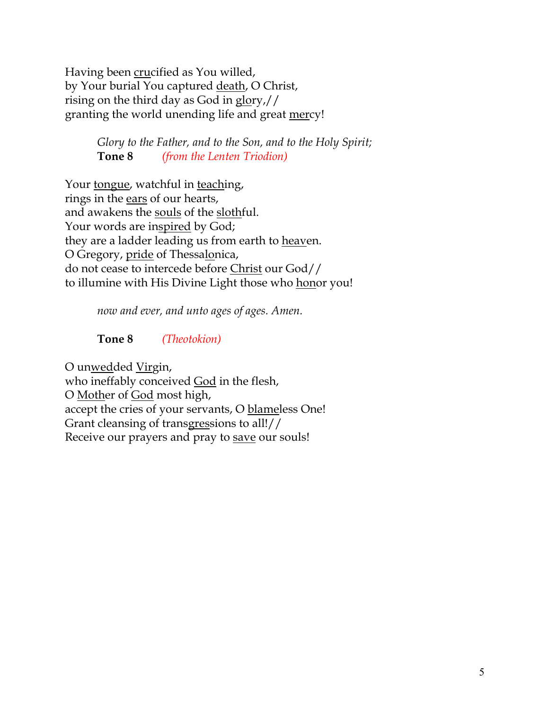Having been crucified as You willed, by Your burial You captured death, O Christ, rising on the third day as God in glory,// granting the world unending life and great mercy!

> *Glory to the Father, and to the Son, and to the Holy Spirit;* **Tone 8** *(from the Lenten Triodion)*

Your tongue, watchful in teaching, rings in the ears of our hearts, and awakens the souls of the slothful. Your words are inspired by God; they are a ladder leading us from earth to heaven. O Gregory, pride of Thessalonica, do not cease to intercede before Christ our God// to illumine with His Divine Light those who honor you!

*now and ever, and unto ages of ages. Amen.*

### **Tone 8** *(Theotokion)*

O unwedded Virgin, who ineffably conceived God in the flesh, O Mother of God most high, accept the cries of your servants, O blameless One! Grant cleansing of transgressions to all!// Receive our prayers and pray to save our souls!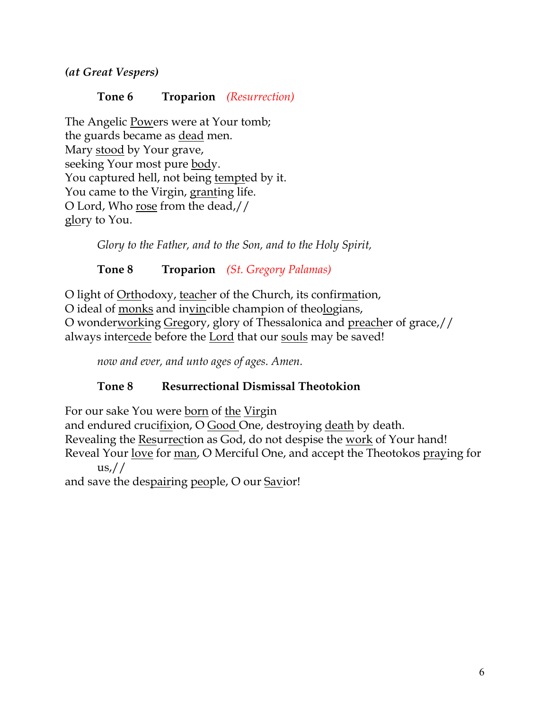*(at Great Vespers)*

### **Tone 6 Troparion** *(Resurrection)*

The Angelic Powers were at Your tomb; the guards became as dead men. Mary stood by Your grave, seeking Your most pure body. You captured hell, not being tempted by it. You came to the Virgin, granting life. O Lord, Who rose from the dead,// glory to You.

*Glory to the Father, and to the Son, and to the Holy Spirit,*

# **Tone 8 Troparion** *(St. Gregory Palamas)*

O light of Orthodoxy, teacher of the Church, its confirmation, O ideal of monks and invincible champion of theologians, O wonderworking Gregory, glory of Thessalonica and preacher of grace,// always intercede before the Lord that our souls may be saved!

*now and ever, and unto ages of ages. Amen.*

# **Tone 8 Resurrectional Dismissal Theotokion**

For our sake You were born of the Virgin and endured crucifixion, O Good One, destroying death by death. Revealing the Resurrection as God, do not despise the work of Your hand! Reveal Your love for man, O Merciful One, and accept the Theotokos praying for  $\frac{us}{l}$ 

and save the despairing people, O our Savior!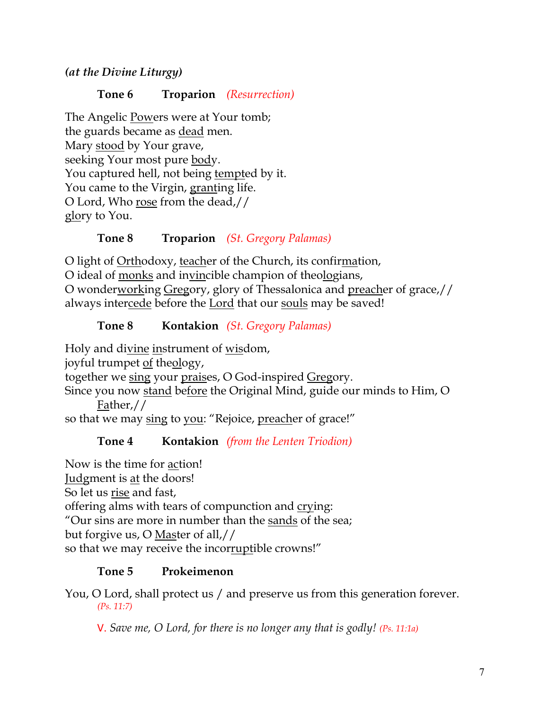*(at the Divine Liturgy)*

**Tone 6 Troparion** *(Resurrection)*

The Angelic Powers were at Your tomb; the guards became as dead men. Mary stood by Your grave, seeking Your most pure body. You captured hell, not being tempted by it. You came to the Virgin, granting life. O Lord, Who rose from the dead,// glory to You.

# **Tone 8 Troparion** *(St. Gregory Palamas)*

O light of Orthodoxy, teacher of the Church, its confirmation, O ideal of monks and invincible champion of theologians, O wonderworking Gregory, glory of Thessalonica and preacher of grace,// always intercede before the Lord that our souls may be saved!

# **Tone 8 Kontakion** *(St. Gregory Palamas)*

Holy and divine instrument of wisdom, joyful trumpet of theology, together we sing your praises, O God-inspired Gregory.

Since you now stand before the Original Mind, guide our minds to Him, O Father,//

so that we may sing to you: "Rejoice, preacher of grace!"

**Tone 4 Kontakion** *(from the Lenten Triodion)*

Now is the time for action! Judgment is at the doors! So let us rise and fast, offering alms with tears of compunction and crying: "Our sins are more in number than the sands of the sea; but forgive us, O Master of all,// so that we may receive the incorruptible crowns!"

# **Tone 5 Prokeimenon**

You, O Lord, shall protect us / and preserve us from this generation forever. *(Ps. 11:7)*

V. *Save me, O Lord, for there is no longer any that is godly! (Ps. 11:1a)*